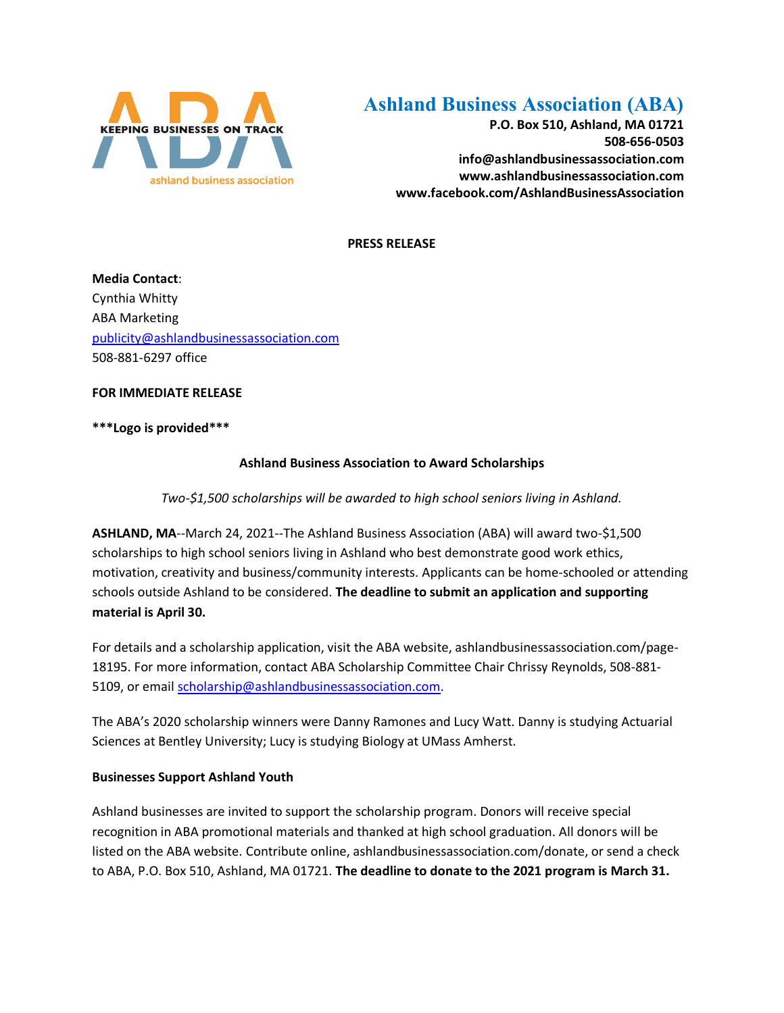

## **Ashland Business Association (ABA)**

**P.O. Box 510, Ashland, MA 01721 508-656-0503 info@ashlandbusinessassociation.com www.ashlandbusinessassociation.com www.facebook.com/AshlandBusinessAssociation**

**PRESS RELEASE**

**Media Contact**: Cynthia Whitty ABA Marketing [publicity@ashlandbusinessassociation.com](mailto:publicity@ashlandbusinessassociation.com) 508-881-6297 office

**FOR IMMEDIATE RELEASE**

**\*\*\*Logo is provided\*\*\***

## **Ashland Business Association to Award Scholarships**

*Two-\$1,500 scholarships will be awarded to high school seniors living in Ashland.*

**ASHLAND, MA**--March 24, 2021--The Ashland Business Association (ABA) will award two-\$1,500 scholarships to high school seniors living in Ashland who best demonstrate good work ethics, motivation, creativity and business/community interests. Applicants can be home-schooled or attending schools outside Ashland to be considered. **The deadline to submit an application and supporting material is April 30.**

For details and a scholarship application, visit the ABA website, ashlandbusinessassociation.com/page-18195. For more information, contact ABA Scholarship Committee Chair Chrissy Reynolds, 508-881 5109, or emai[l scholarship@ashlandbusinessassociation.com.](mailto:scholarship@ashlandbusinessassociation.com)

The ABA's 2020 scholarship winners were Danny Ramones and Lucy Watt. Danny is studying Actuarial Sciences at Bentley University; Lucy is studying Biology at UMass Amherst.

## **Businesses Support Ashland Youth**

Ashland businesses are invited to support the scholarship program. Donors will receive special recognition in ABA promotional materials and thanked at high school graduation. All donors will be listed on the ABA website. Contribute online, ashlandbusinessassociation.com/donate, or send a check to ABA, P.O. Box 510, Ashland, MA 01721. **The deadline to donate to the 2021 program is March 31.**